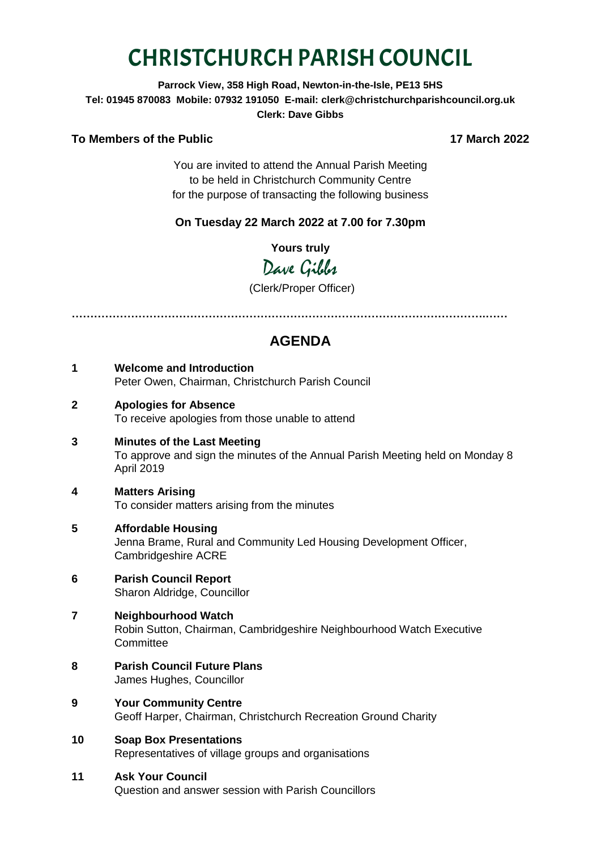# CHRISTCHURCH PARISH COUNCIL

## **Parrock View, 358 High Road, Newton-in-the-Isle, PE13 5HS Tel: 01945 870083 Mobile: 07932 191050 E-mail: clerk@christchurchparishcouncil.org.uk Clerk: Dave Gibbs**

#### **To Members of the Public 17 March 2022**

You are invited to attend the Annual Parish Meeting to be held in Christchurch Community Centre for the purpose of transacting the following business

## **On Tuesday 22 March 2022 at 7.00 for 7.30pm**

**Yours truly**

Dave Gibbs

(Clerk/Proper Officer)

**………………………………………………………………………………………………….……**

# **AGENDA**

- **1 Welcome and Introduction** Peter Owen, Chairman, Christchurch Parish Council
- **2 Apologies for Absence** To receive apologies from those unable to attend
- **3 Minutes of the Last Meeting** To approve and sign the minutes of the Annual Parish Meeting held on Monday 8 April 2019
- **4 Matters Arising** To consider matters arising from the minutes
- **5 Affordable Housing** Jenna Brame, Rural and Community Led Housing Development Officer, Cambridgeshire ACRE
- **6 Parish Council Report** Sharon Aldridge, Councillor
- **7 Neighbourhood Watch** Robin Sutton, Chairman, Cambridgeshire Neighbourhood Watch Executive **Committee**
- **8 Parish Council Future Plans** James Hughes, Councillor
- **9 Your Community Centre** Geoff Harper, Chairman, Christchurch Recreation Ground Charity
- **10 Soap Box Presentations** Representatives of village groups and organisations

## **11 Ask Your Council**

Question and answer session with Parish Councillors